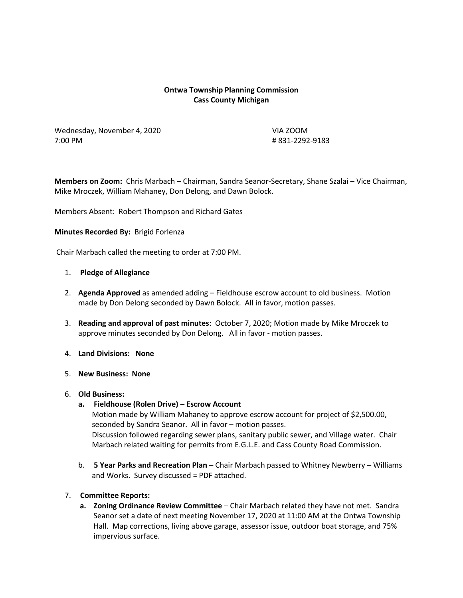# **Ontwa Township Planning Commission Cass County Michigan**

Wednesday, November 4, 2020 VIA ZOOM 7:00 PM # 831-2292-9183

**Members on Zoom:** Chris Marbach – Chairman, Sandra Seanor-Secretary, Shane Szalai – Vice Chairman, Mike Mroczek, William Mahaney, Don Delong, and Dawn Bolock.

Members Absent: Robert Thompson and Richard Gates

#### **Minutes Recorded By:** Brigid Forlenza

Chair Marbach called the meeting to order at 7:00 PM.

#### 1. **Pledge of Allegiance**

- 2. **Agenda Approved** as amended adding Fieldhouse escrow account to old business. Motion made by Don Delong seconded by Dawn Bolock. All in favor, motion passes.
- 3. **Reading and approval of past minutes**: October 7, 2020; Motion made by Mike Mroczek to approve minutes seconded by Don Delong. All in favor - motion passes.
- 4. **Land Divisions: None**
- 5. **New Business: None**

## 6. **Old Business:**

**a. Fieldhouse (Rolen Drive) – Escrow Account**

Motion made by William Mahaney to approve escrow account for project of \$2,500.00, seconded by Sandra Seanor. All in favor – motion passes. Discussion followed regarding sewer plans, sanitary public sewer, and Village water. Chair Marbach related waiting for permits from E.G.L.E. and Cass County Road Commission.

b. **5 Year Parks and Recreation Plan** – Chair Marbach passed to Whitney Newberry – Williams and Works. Survey discussed = PDF attached.

## 7. **Committee Reports:**

**a. Zoning Ordinance Review Committee** – Chair Marbach related they have not met. Sandra Seanor set a date of next meeting November 17, 2020 at 11:00 AM at the Ontwa Township Hall. Map corrections, living above garage, assessor issue, outdoor boat storage, and 75% impervious surface.